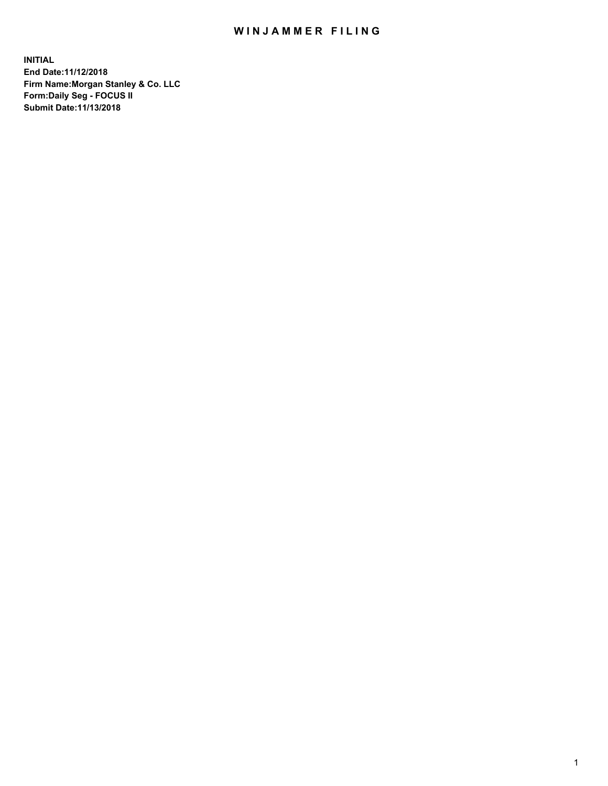## WIN JAMMER FILING

**INITIAL End Date:11/12/2018 Firm Name:Morgan Stanley & Co. LLC Form:Daily Seg - FOCUS II Submit Date:11/13/2018**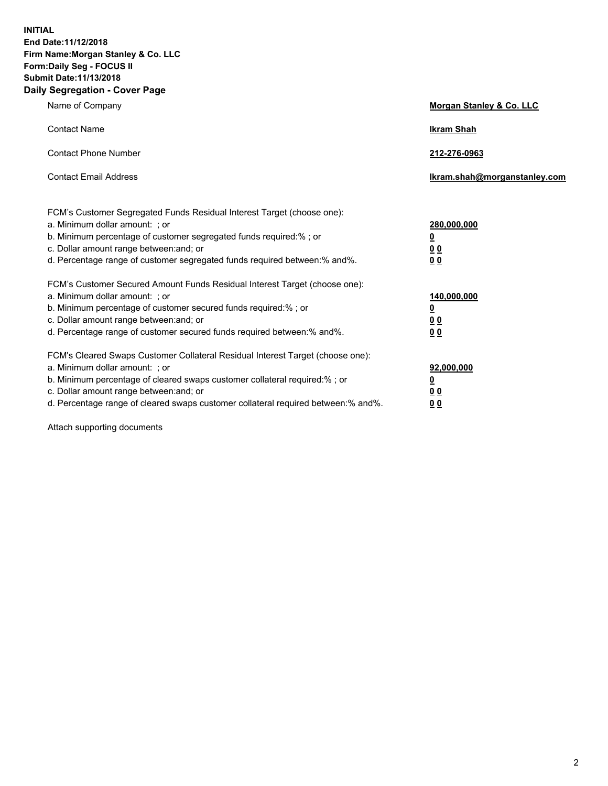**INITIAL End Date:11/12/2018 Firm Name:Morgan Stanley & Co. LLC Form:Daily Seg - FOCUS II Submit Date:11/13/2018 Daily Segregation - Cover Page**

| Name of Company                                                                   | Morgan Stanley & Co. LLC     |
|-----------------------------------------------------------------------------------|------------------------------|
| <b>Contact Name</b>                                                               | <b>Ikram Shah</b>            |
| <b>Contact Phone Number</b>                                                       | 212-276-0963                 |
| <b>Contact Email Address</b>                                                      | Ikram.shah@morganstanley.com |
| FCM's Customer Segregated Funds Residual Interest Target (choose one):            |                              |
| a. Minimum dollar amount: ; or                                                    | 280,000,000                  |
| b. Minimum percentage of customer segregated funds required:% ; or                | <u>0</u>                     |
| c. Dollar amount range between: and; or                                           | <u>0 0</u>                   |
| d. Percentage range of customer segregated funds required between: % and %.       | 0 Q                          |
| FCM's Customer Secured Amount Funds Residual Interest Target (choose one):        |                              |
| a. Minimum dollar amount: ; or                                                    | 140,000,000                  |
| b. Minimum percentage of customer secured funds required:%; or                    | <u>0</u>                     |
| c. Dollar amount range between: and; or                                           | 0 <sub>0</sub>               |
| d. Percentage range of customer secured funds required between:% and%.            | 0 <sub>0</sub>               |
| FCM's Cleared Swaps Customer Collateral Residual Interest Target (choose one):    |                              |
| a. Minimum dollar amount: ; or                                                    | 92,000,000                   |
| b. Minimum percentage of cleared swaps customer collateral required:% ; or        | <u>0</u>                     |
| c. Dollar amount range between: and; or                                           | 0 Q                          |
| d. Percentage range of cleared swaps customer collateral required between:% and%. | 00                           |

Attach supporting documents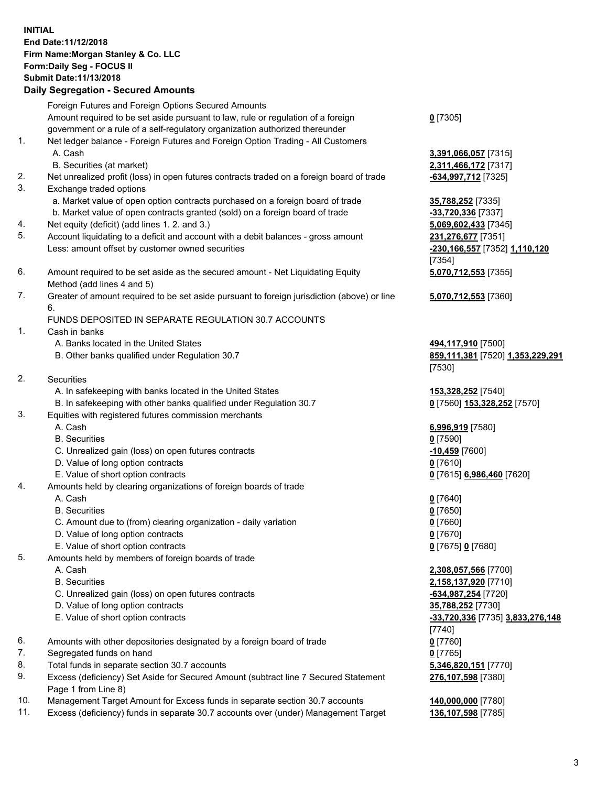## **INITIAL End Date:11/12/2018 Firm Name:Morgan Stanley & Co. LLC Form:Daily Seg - FOCUS II Submit Date:11/13/2018**

**Daily Segregation - Secured Amounts** Foreign Futures and Foreign Options Secured Amounts Amount required to be set aside pursuant to law, rule or regulation of a foreign government or a rule of a self-regulatory organization authorized thereunder 1. Net ledger balance - Foreign Futures and Foreign Option Trading - All Customers A. Cash **3,391,066,057** [7315] B. Securities (at market) **2,311,466,172** [7317] 2. Net unrealized profit (loss) in open futures contracts traded on a foreign board of trade **-634,997,712** [7325] 3. Exchange traded options a. Market value of open option contracts purchased on a foreign board of trade **35,788,252** [7335] b. Market value of open contracts granted (sold) on a foreign board of trade **-33,720,336** [7337] 4. Net equity (deficit) (add lines 1. 2. and 3.) **5,069,602,433** [7345] 5. Account liquidating to a deficit and account with a debit balances - gross amount **231,276,677** [7351] Less: amount offset by customer owned securities **-230,166,557** [7352] **1,110,120** 6. Amount required to be set aside as the secured amount - Net Liquidating Equity Method (add lines 4 and 5) 7. Greater of amount required to be set aside pursuant to foreign jurisdiction (above) or line 6. FUNDS DEPOSITED IN SEPARATE REGULATION 30.7 ACCOUNTS 1. Cash in banks A. Banks located in the United States **494,117,910** [7500] B. Other banks qualified under Regulation 30.7 **859,111,381** [7520] **1,353,229,291** 2. Securities A. In safekeeping with banks located in the United States **153,328,252** [7540] B. In safekeeping with other banks qualified under Regulation 30.7 **0** [7560] **153,328,252** [7570] 3. Equities with registered futures commission merchants A. Cash **6,996,919** [7580] B. Securities **0** [7590] C. Unrealized gain (loss) on open futures contracts **-10,459** [7600] D. Value of long option contracts **0** [7610] E. Value of short option contracts **0** [7615] **6,986,460** [7620] 4. Amounts held by clearing organizations of foreign boards of trade A. Cash **0** [7640] B. Securities **0** [7650] C. Amount due to (from) clearing organization - daily variation **0** [7660] D. Value of long option contracts **0** [7670] E. Value of short option contracts **0** [7675] **0** [7680] 5. Amounts held by members of foreign boards of trade A. Cash **2,308,057,566** [7700] B. Securities **2,158,137,920** [7710] C. Unrealized gain (loss) on open futures contracts **-634,987,254** [7720] D. Value of long option contracts **35,788,252** [7730] E. Value of short option contracts **-33,720,336** [7735] **3,833,276,148** 6. Amounts with other depositories designated by a foreign board of trade **0** [7760]

- 7. Segregated funds on hand **0** [7765]
- 8. Total funds in separate section 30.7 accounts **5,346,820,151** [7770]
- 9. Excess (deficiency) Set Aside for Secured Amount (subtract line 7 Secured Statement Page 1 from Line 8)
- 10. Management Target Amount for Excess funds in separate section 30.7 accounts **140,000,000** [7780]
- 11. Excess (deficiency) funds in separate 30.7 accounts over (under) Management Target **136,107,598** [7785]

**0** [7305]

[7354] **5,070,712,553** [7355]

**5,070,712,553** [7360]

[7530]

[7740] **276,107,598** [7380]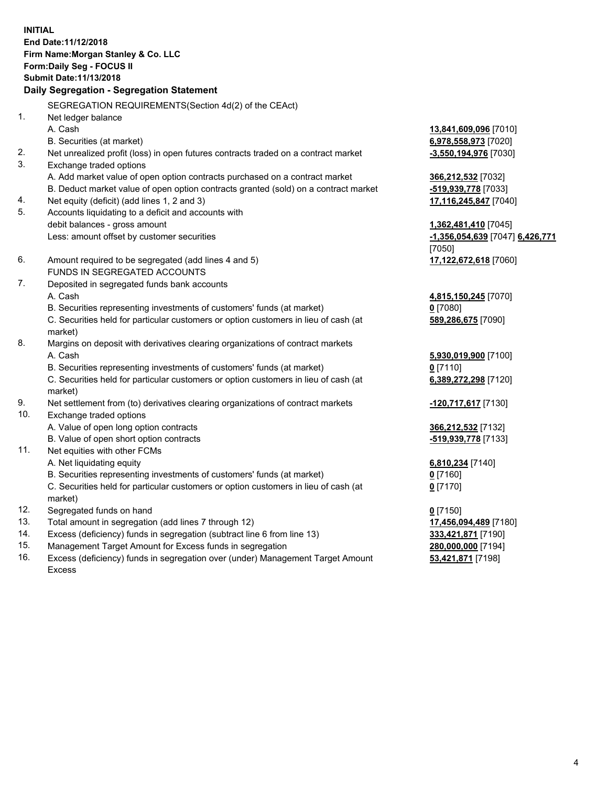**INITIAL End Date:11/12/2018 Firm Name:Morgan Stanley & Co. LLC Form:Daily Seg - FOCUS II Submit Date:11/13/2018 Daily Segregation - Segregation Statement** SEGREGATION REQUIREMENTS(Section 4d(2) of the CEAct) 1. Net ledger balance A. Cash **13,841,609,096** [7010] B. Securities (at market) **6,978,558,973** [7020] 2. Net unrealized profit (loss) in open futures contracts traded on a contract market **-3,550,194,976** [7030] 3. Exchange traded options A. Add market value of open option contracts purchased on a contract market **366,212,532** [7032] B. Deduct market value of open option contracts granted (sold) on a contract market **-519,939,778** [7033] 4. Net equity (deficit) (add lines 1, 2 and 3) **17,116,245,847** [7040] 5. Accounts liquidating to a deficit and accounts with debit balances - gross amount **1,362,481,410** [7045] Less: amount offset by customer securities **-1,356,054,639** [7047] **6,426,771** [7050] 6. Amount required to be segregated (add lines 4 and 5) **17,122,672,618** [7060] FUNDS IN SEGREGATED ACCOUNTS 7. Deposited in segregated funds bank accounts A. Cash **4,815,150,245** [7070] B. Securities representing investments of customers' funds (at market) **0** [7080] C. Securities held for particular customers or option customers in lieu of cash (at market) **589,286,675** [7090] 8. Margins on deposit with derivatives clearing organizations of contract markets A. Cash **5,930,019,900** [7100] B. Securities representing investments of customers' funds (at market) **0** [7110] C. Securities held for particular customers or option customers in lieu of cash (at market) **6,389,272,298** [7120] 9. Net settlement from (to) derivatives clearing organizations of contract markets **-120,717,617** [7130] 10. Exchange traded options A. Value of open long option contracts **366,212,532** [7132] B. Value of open short option contracts **-519,939,778** [7133] 11. Net equities with other FCMs A. Net liquidating equity **6,810,234** [7140] B. Securities representing investments of customers' funds (at market) **0** [7160] C. Securities held for particular customers or option customers in lieu of cash (at market) **0** [7170] 12. Segregated funds on hand **0** [7150] 13. Total amount in segregation (add lines 7 through 12) **17,456,094,489** [7180] 14. Excess (deficiency) funds in segregation (subtract line 6 from line 13) **333,421,871** [7190]

- 15. Management Target Amount for Excess funds in segregation **280,000,000** [7194]
- 16. Excess (deficiency) funds in segregation over (under) Management Target Amount Excess

**53,421,871** [7198]